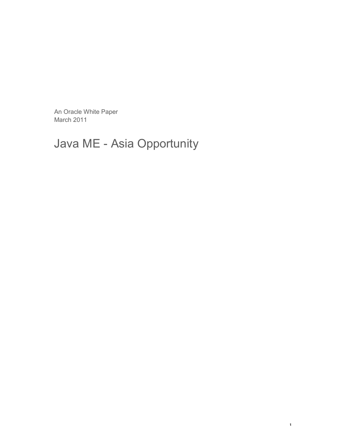An Oracle White Paper March 2011

## Java ME - Asia Opportunity

**1**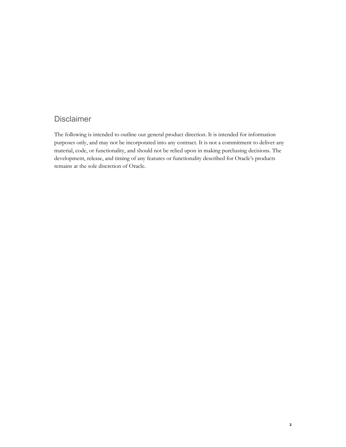## Disclaimer

The following is intended to outline our general product direction. It is intended for information purposes only, and may not be incorporated into any contract. It is not a commitment to deliver any material, code, or functionality, and should not be relied upon in making purchasing decisions. The development, release, and timing of any features or functionality described for Oracle's products remains at the sole discretion of Oracle.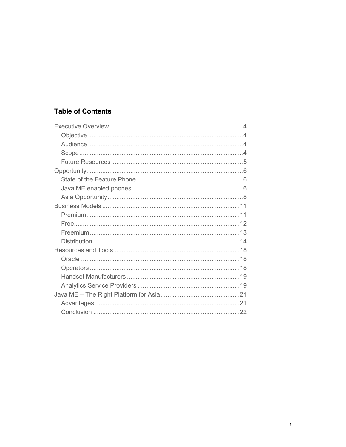## **Table of Contents**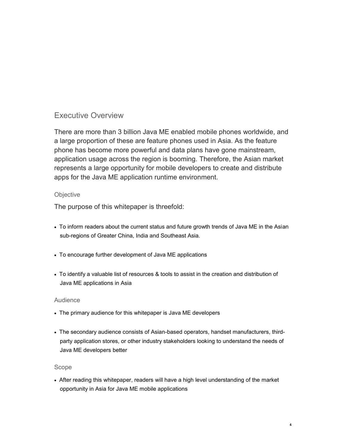## Executive Overview

There are more than 3 billion Java ME enabled mobile phones worldwide, and a large proportion of these are feature phones used in Asia. As the feature phone has become more powerful and data plans have gone mainstream, application usage across the region is booming. Therefore, the Asian market represents a large opportunity for mobile developers to create and distribute apps for the Java ME application runtime environment.

#### **Objective**

The purpose of this whitepaper is threefold:

- To inform readers about the current status and future growth trends of Java ME in the Asian sub-regions of Greater China, India and Southeast Asia.
- To encourage further development of Java ME applications
- To identify a valuable list of resources & tools to assist in the creation and distribution of Java ME applications in Asia

#### Audience

- The primary audience for this whitepaper is Java ME developers
- The secondary audience consists of Asian-based operators, handset manufacturers, thirdparty application stores, or other industry stakeholders looking to understand the needs of Java ME developers better

#### Scope

• After reading this whitepaper, readers will have a high level understanding of the market opportunity in Asia for Java ME mobile applications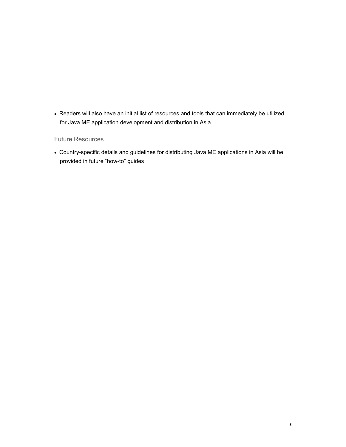• Readers will also have an initial list of resources and tools that can immediately be utilized for Java ME application development and distribution in Asia

#### Future Resources

• Country-specific details and guidelines for distributing Java ME applications in Asia will be provided in future "how-to" guides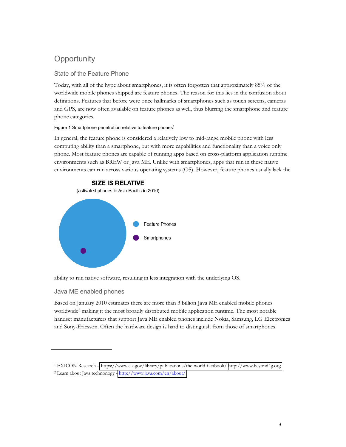## **Opportunity**

### State of the Feature Phone

Today, with all of the hype about smartphones, it is often forgotten that approximately 85% of the worldwide mobile phones shipped are feature phones. The reason for this lies in the confusion about definitions. Features that before were once hallmarks of smartphones such as touch screens, cameras and GPS, are now often available on feature phones as well, thus blurring the smartphone and feature phone categories.

#### Figure 1 Smartphone penetration relative to feature phones $<sup>1</sup>$ </sup>

In general, the feature phone is considered a relatively low to mid-range mobile phone with less computing ability than a smartphone, but with more capabilities and functionality than a voice only phone. Most feature phones are capable of running apps based on cross-platform application runtime environments such as BREW or Java ME. Unlike with smartphones, apps that run in these native environments can run across various operating systems (OS). However, feature phones usually lack the



ability to run native software, resulting in less integration with the underlying OS.

#### Java ME enabled phones

Based on January 2010 estimates there are more than 3 billion Java ME enabled mobile phones worldwide<sup>2</sup> making it the most broadly distributed mobile application runtime. The most notable handset manufacturers that support Java ME enabled phones include Nokia, Samsung, LG Electronics and Sony-Ericsson. Often the hardware design is hard to distinguish from those of smartphones.

<sup>&</sup>lt;sup>1</sup> EXICON Research – <https://www.cia.gov/library/publications/the-world-factbook/> [http://www.beyond4g.org](http://www.beyond4g.org/)

<sup>2</sup> Learn about Java technonogy - <http://www.java.com/en/about/>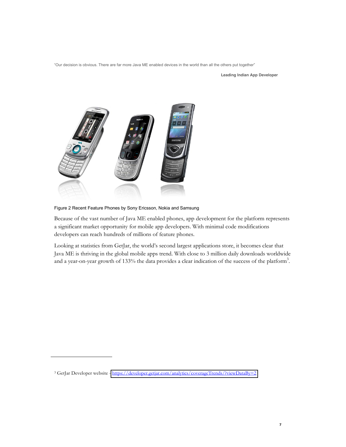"Our decision is obvious. There are far more Java ME enabled devices in the world than all the others put together"

**Leading Indian App Developer**



Figure 2 Recent Feature Phones by Sony Ericsson, Nokia and Samsung

Because of the vast number of Java ME enabled phones, app development for the platform represents a significant market opportunity for mobile app developers. With minimal code modifications developers can reach hundreds of millions of feature phones.

Looking at statistics from GetJar, the world's second largest applications store, it becomes clear that Java ME is thriving in the global mobile apps trend. With close to 3 million daily downloads worldwide and a year-on-year growth of 133% the data provides a clear indication of the success of the platform<sup>3</sup>.

<sup>3</sup> GetJar Developer website - <https://developer.getjar.com/analytics/coverageTrends/?viewDataBy=2>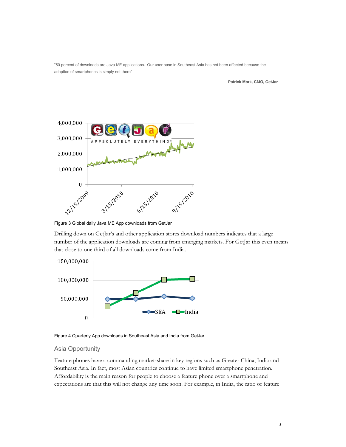"50 percent of downloads are Java ME applications. Our user base in Southeast Asia has not been affected because the adoption of smartphones is simply not there"

**Patrick Mork, CMO, GetJar**



Figure 3 Global daily Java ME App downloads from GetJar

Drilling down on GetJar's and other application stores download numbers indicates that a large number of the application downloads are coming from emerging markets. For GetJar this even means that close to one third of all downloads come from India.



Figure 4 Quarterly App downloads in Southeast Asia and India from GetJar

#### Asia Opportunity

Feature phones have a commanding market-share in key regions such as Greater China, India and Southeast Asia. In fact, most Asian countries continue to have limited smartphone penetration. Affordability is the main reason for people to choose a feature phone over a smartphone and expectations are that this will not change any time soon. For example, in India, the ratio of feature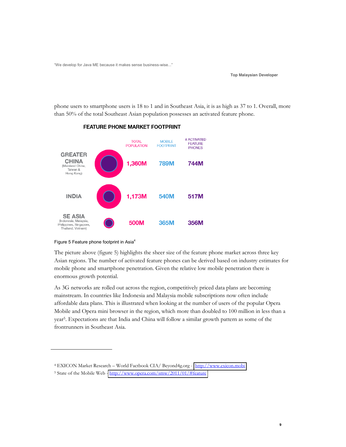"We develop for Java ME because it makes sense business-wise..."

**Top Malaysian Developer**

phone users to smartphone users is 18 to 1 and in Southeast Asia, it is as high as 37 to 1. Overall, more than 50% of the total Southeast Asian population possesses an activated feature phone.



#### **FEATURE PHONE MARKET FOOTPRINT**

#### Figure 5 Feature phone footprint in Asia<sup>4</sup>

The picture above (figure 5) highlights the sheer size of the feature phone market across three key Asian regions. The number of activated feature phones can be derived based on industry estimates for mobile phone and smartphone penetration. Given the relative low mobile penetration there is enormous growth potential.

As 3G networks are rolled out across the region, competitively priced data plans are becoming mainstream. In countries like Indonesia and Malaysia mobile subscriptions now often include affordable data plans. This is illustrated when looking at the number of users of the popular Opera Mobile and Opera mini browser in the region, which more than doubled to 100 million in less than a year5. Expectations are that India and China will follow a similar growth pattern as some of the frontrunners in Southeast Asia.

<sup>&</sup>lt;sup>4</sup> EXICON Market Research - World Factbook CIA/ Beyond4g.org - [http://www.exicon.mobi](http://www.exicon.mobi/)

<sup>&</sup>lt;sup>5</sup> State of the Mobile Web - <http://www.opera.com/smw/2011/01/#feature>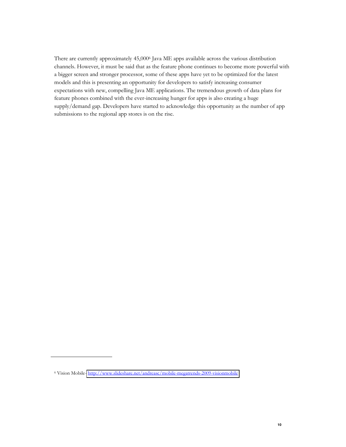There are currently approximately 45,000<sup>6</sup> Java ME apps available across the various distribution channels. However, it must be said that as the feature phone continues to become more powerful with a bigger screen and stronger processor, some of these apps have yet to be optimized for the latest models and this is presenting an opportunity for developers to satisfy increasing consumer expectations with new, compelling Java ME applications. The tremendous growth of data plans for feature phones combined with the ever-increasing hunger for apps is also creating a huge supply/demand gap. Developers have started to acknowledge this opportunity as the number of app submissions to the regional app stores is on the rise.

<sup>6</sup> Vision Mobile- <http://www.slideshare.net/andreasc/mobile-megatrends-2009-visionmobile>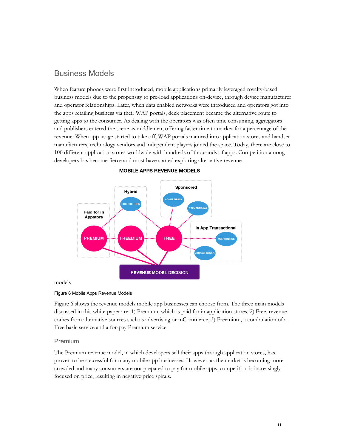## Business Models

When feature phones were first introduced, mobile applications primarily leveraged royalty-based business models due to the propensity to pre-load applications on-device, through device manufacturer and operator relationships. Later, when data enabled networks were introduced and operators got into the apps retailing business via their WAP portals, deck placement became the alternative route to getting apps to the consumer. As dealing with the operators was often time consuming, aggregators and publishers entered the scene as middlemen, offering faster time to market for a percentage of the revenue. When app usage started to take off, WAP portals matured into application stores and handset manufacturers, technology vendors and independent players joined the space. Today, there are close to 100 different application stores worldwide with hundreds of thousands of apps. Competition among developers has become fierce and most have started exploring alternative revenue



#### **MOBILE APPS REVENUE MODELS**

#### Figure 6 Mobile Apps Revenue Models

Figure 6 shows the revenue models mobile app businesses can choose from. The three main models discussed in this white paper are: 1) Premium, which is paid for in application stores, 2) Free, revenue comes from alternative sources such as advertising or mCommerce, 3) Freemium, a combination of a Free basic service and a for-pay Premium service.

#### Premium

The Premium revenue model, in which developers sell their apps through application stores, has proven to be successful for many mobile app businesses. However, as the market is becoming more crowded and many consumers are not prepared to pay for mobile apps, competition is increasingly focused on price, resulting in negative price spirals.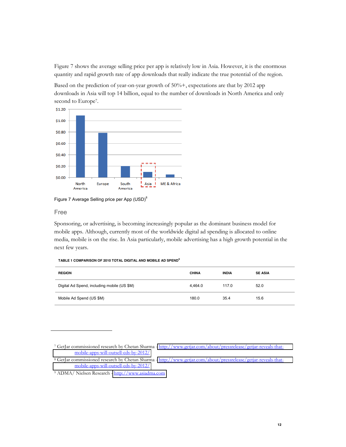Figure 7 shows the average selling price per app is relatively low in Asia. However, it is the enormous quantity and rapid growth rate of app downloads that really indicate the true potential of the region.

Based on the prediction of year-on-year growth of 50%+, expectations are that by 2012 app downloads in Asia will top 14 billion, equal to the number of downloads in North America and only second to Europe<sup>7</sup>.



Figure 7 Average Selling price per App (USD)<sup>8</sup>

#### Free

Sponsoring, or advertising, is becoming increasingly popular as the dominant business model for mobile apps. Although, currently most of the worldwide digital ad spending is allocated to online media, mobile is on the rise. In Asia particularly, mobile advertising has a high growth potential in the next few years.

#### **TABLE 1 COMPARISON OF 2010 TOTAL DIGITAL AND MOBILE AD SPEND<sup>9</sup>**

| <b>REGION</b>                               | <b>CHINA</b> | <b>INDIA</b> | <b>SE ASIA</b> |
|---------------------------------------------|--------------|--------------|----------------|
| Digital Ad Spend, including mobile (US \$M) | 4.464.0      | 117.0        | 52.0           |
| Mobile Ad Spend (US \$M)                    | 180.0        | 35.4         | 15.6           |

<sup>7</sup> GetJar commissioned research by Chetan Sharma - [http://www.getjar.com/about/pressrelease/getjar-reveals-that](http://www.getjar.com/about/pressrelease/getjar-reveals-that-mobile-apps-will-outsell-cds-by-2012/)[mobile-apps-will-outsell-cds-by-2012/](http://www.getjar.com/about/pressrelease/getjar-reveals-that-mobile-apps-will-outsell-cds-by-2012/)

<sup>8</sup> GetJar commissioned research by Chetan Sharma - [http://www.getjar.com/about/pressrelease/getjar-reveals-that](http://www.getjar.com/about/pressrelease/getjar-reveals-that-mobile-apps-will-outsell-cds-by-2012/)[mobile-apps-will-outsell-cds-by-2012/](http://www.getjar.com/about/pressrelease/getjar-reveals-that-mobile-apps-will-outsell-cds-by-2012/)

<sup>9</sup> ADMA/ Nielsen Research - [http://www.asiadma.com](http://www.asiadma.com/)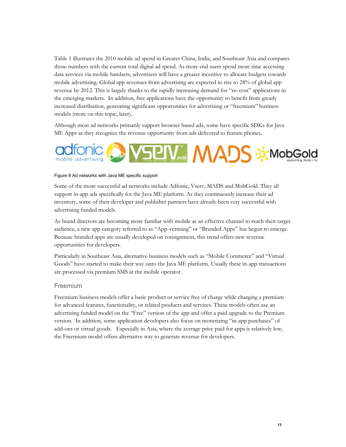Table 1 illustrates the 2010 mobile ad spend in Greater China, India, and Southeast Asia and compares those numbers with the current total digital ad spend. As more end users spend more time accessing data services via mobile handsets, advertisers will have a greater incentive to allocate budgets towards mobile advertising. Global app revenues from advertising are expected to rise to 28% of global app revenue by 2012. This is largely thanks to the rapidly increasing demand for "no cost" applications in the emerging markets. In addition, free applications have the opportunity to benefit from greatly increased distribution, generating significant opportunities for advertising or "freemium" business models (more on this topic, later).

Although most ad networks primarily support browser based ads, some have specific SDKs for Java ME Apps as they recognize the revenue opportunity from ads delivered to feature phones.



#### Figure 8 Ad networks with Java ME specific support

Some of the more successful ad networks include Adfonic, Vserv, MADS and MobGold. They all support in-app ads specifically for the Java ME platform. As they continuously increase their ad inventory, some of their developer and publisher partners have already been very successful with advertising funded models.

As brand directors are becoming more familiar with mobile as an effective channel to reach their target audience, a new app category referred to as "App-vertising" or "Branded Apps" has begun to emerge. Because branded apps are usually developed on consignment, this trend offers new revenue opportunities for developers.

Particularly in Southeast Asia, alternative business models such as "Mobile Commerce" and "Virtual Goods" have started to make their way onto the Java ME platform. Usually these in-app transactions are processed via premium SMS at the mobile operator.

#### Freemium

Freemium business models offer a basic product or service free of charge while charging a premium for advanced features, functionality, or related products and services. These models often use an advertising funded model on the "Free" version of the app and offer a paid upgrade to the Premium version. In addition, some application developers also focus on monetizing "in-app purchases" of add-ons or virtual goods. Especially in Asia, where the average price paid for apps is relatively low, the Freemium model offers alternative way to generate revenue for developers.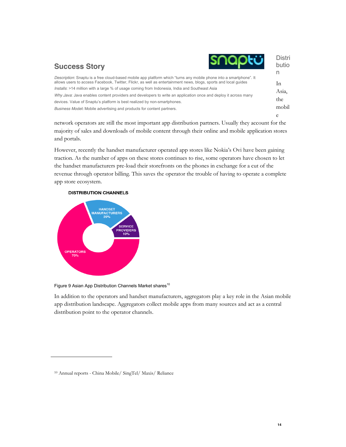| <b>SNODEÜ</b><br><b>Success Story</b>                                                                                                                                                                                                 | <b>Distri</b><br>butio<br>n |
|---------------------------------------------------------------------------------------------------------------------------------------------------------------------------------------------------------------------------------------|-----------------------------|
| Description: Snaptu is a free cloud-based mobile app platform which "turns any mobile phone into a smartphone". It<br>allows users to access Facebook, Twitter, Flickr, as well as entertainment news, blogs, sports and local quides | In                          |
| Installs: >14 million with a large % of usage coming from Indonesia, India and Southeast Asia                                                                                                                                         |                             |
| Why Java: Java enables content providers and developers to write an application once and deploy it across many                                                                                                                        | Asia,                       |
| devices. Value of Snaptu's platform is best realized by non-smartphones.                                                                                                                                                              | the                         |
| Business Model: Mobile advertising and products for content partners.                                                                                                                                                                 | mobil                       |
|                                                                                                                                                                                                                                       | e                           |

network operators are still the most important app distribution partners. Usually they account for the majority of sales and downloads of mobile content through their online and mobile application stores and portals.

However, recently the handset manufacturer operated app stores like Nokia's Ovi have been gaining traction. As the number of apps on these stores continues to rise, some operators have chosen to let the handset manufacturers pre-load their storefronts on the phones in exchange for a cut of the revenue through operator billing. This saves the operator the trouble of having to operate a complete app store ecosystem.





#### Figure 9 Asian App Distribution Channels Market shares<sup>10</sup>

In addition to the operators and handset manufacturers, aggregators play a key role in the Asian mobile app distribution landscape. Aggregators collect mobile apps from many sources and act as a central distribution point to the operator channels.

<sup>10</sup> Annual reports - China Mobile/ SingTel/ Maxis/ Reliance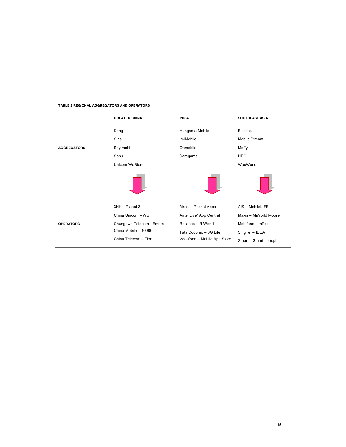|                    | <b>GREATER CHINA</b>    | <b>INDIA</b>                | <b>SOUTHEAST ASIA</b>  |
|--------------------|-------------------------|-----------------------------|------------------------|
|                    | Kong                    | Hungama Mobile              | Elastias               |
|                    | Sina                    | <b>ImiMobile</b>            | Mobile Stream          |
| <b>AGGREGATORS</b> | Sky-mobi                | Onmobile                    | Moffy                  |
|                    | Sohu                    | Saregama                    | <b>NEO</b>             |
|                    | Unicom WoStore          |                             | WooWorld               |
|                    |                         |                             |                        |
|                    | 3HK - Planet 3          | Aircel - Pocket Apps        | AIS - MobileLIFE       |
|                    | China Unicom - Wo       | Airtel Live/ App Central    | Maxis - MiWorld Mobile |
| <b>OPERATORS</b>   | Chunghwa Telecom - Emom | Reliance - R-World          | Mobifone - mPlus       |
|                    | China Mobile - 10086    | Tata Docomo - 3G Life       | SingTel - IDEA         |
|                    | China Telecom - Tixa    | Vodafone - Mobile App Store | Smart - Smart.com.ph   |

#### **TABLE 2 REGIONAL AGGREGATORS AND OPERATORS**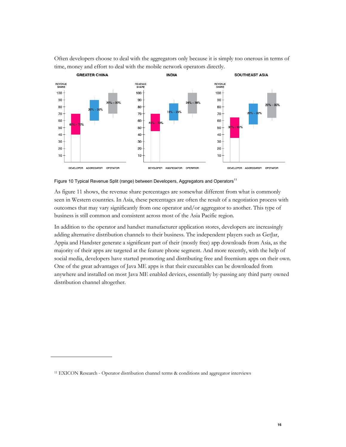Often developers choose to deal with the aggregators only because it is simply too onerous in terms of time, money and effort to deal with the mobile network operators directly.



Figure 10 Typical Revenue Split (range) between Developers, Aggregators and Operators<sup>11</sup>

As figure 11 shows, the revenue share percentages are somewhat different from what is commonly seen in Western countries. In Asia, these percentages are often the result of a negotiation process with outcomes that may vary significantly from one operator and/or aggregator to another. This type of business is still common and consistent across most of the Asia Pacific region.

In addition to the operator and handset manufacturer application stores, developers are increasingly adding alternative distribution channels to their business. The independent players such as GetJar, Appia and Handster generate a significant part of their (mostly free) app downloads from Asia, as the majority of their apps are targeted at the feature phone segment. And more recently, with the help of social media, developers have started promoting and distributing free and freemium apps on their own. One of the great advantages of Java ME apps is that their executables can be downloaded from anywhere and installed on most Java ME enabled devices, essentially by-passing any third party owned distribution channel altogether.

<sup>11</sup> EXICON Research - Operator distribution channel terms & conditions and aggregator interviews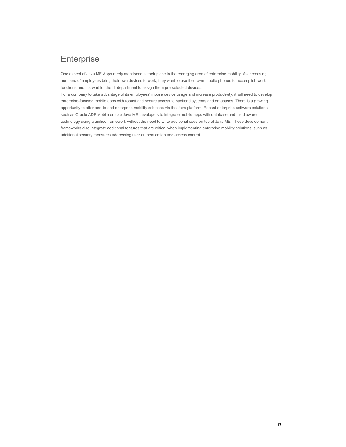## Enterprise

One aspect of Java ME Apps rarely mentioned is their place in the emerging area of enterprise mobility. As increasing numbers of employees bring their own devices to work, they want to use their own mobile phones to accomplish work functions and not wait for the IT department to assign them pre-selected devices.

For a company to take advantage of its employees' mobile device usage and increase productivity, it will need to develop enterprise-focused mobile apps with robust and secure access to backend systems and databases. There is a growing opportunity to offer end-to-end enterprise mobility solutions via the Java platform. Recent enterprise software solutions such as Oracle ADF Mobile enable Java ME developers to integrate mobile apps with database and middleware technology using a unified framework without the need to write additional code on top of Java ME. These development frameworks also integrate additional features that are critical when implementing enterprise mobility solutions, such as additional security measures addressing user authentication and access control.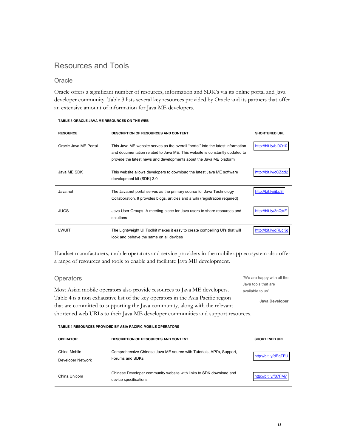## Resources and Tools

#### **Oracle**

Oracle offers a significant number of resources, information and SDK's via its online portal and Java developer community. Table 3 lists several key resources provided by Oracle and its partners that offer an extensive amount of information for Java ME developers.

| <b>RESOURCE</b>       | <b>DESCRIPTION OF RESOURCES AND CONTENT</b>                                                                                                                                                                                           | <b>SHORTENED URL</b> |
|-----------------------|---------------------------------------------------------------------------------------------------------------------------------------------------------------------------------------------------------------------------------------|----------------------|
| Oracle Java MF Portal | This Java ME website serves as the overall "portal" into the latest information<br>and documentation related to Java ME. This website is constantly updated to<br>provide the latest news and developments about the Java ME platform | http://bit.ly/bl0O10 |
| Java ME SDK           | This website allows developers to download the latest Java ME software<br>development kit (SDK) 3.0                                                                                                                                   | http://bit.ly/cCZqd2 |
| Java.net              | The Java.net portal serves as the primary source for Java Technology<br>Collaboration. It provides blogs, articles and a wiki (registration required)                                                                                 | http://bit.ly/iiLp3l |
| <b>JUGS</b>           | Java User Groups. A meeting place for Java users to share resources and<br>solutions                                                                                                                                                  | http://bit.ly/3nQVF  |
| <b>I WUIT</b>         | The Lightweight UI Toolkit makes it easy to create compelling UI's that will<br>look and behave the same on all devices                                                                                                               | http://bit.ly/gRLcKg |

#### **TABLE 3 ORACLE JAVA ME RESOURCES ON THE WEB**

Handset manufacturers, mobile operators and service providers in the mobile app ecosystem also offer a range of resources and tools to enable and facilitate Java ME development.

#### **Operators**

Most Asian mobile operators also provide resources to Java ME developers. Table 4 is a non exhaustive list of the key operators in the Asia Pacific region that are committed to supporting the Java community, along with the relevant shortened web URLs to their Java ME developer communities and support resources.

"We are happy with all the Java tools that are available to us" **Java Developer**

**TABLE 4 RESOURCES PROVIDED BY ASIA PACIFIC MOBILE OPERATORS**

| <b>OPERATOR</b>                   | <b>DESCRIPTION OF RESOURCES AND CONTENT</b>                                                 | <b>SHORTENED URL</b> |
|-----------------------------------|---------------------------------------------------------------------------------------------|----------------------|
| China Mobile<br>Developer Network | Comprehensive Chinese Java ME source with Tutorials, API's, Support,<br>Forums and SDKs     | http://bit.ly/dEqTFU |
| China Unicom                      | Chinese Developer community website with links to SDK download and<br>device specifications | http://bit.ly/f87FM7 |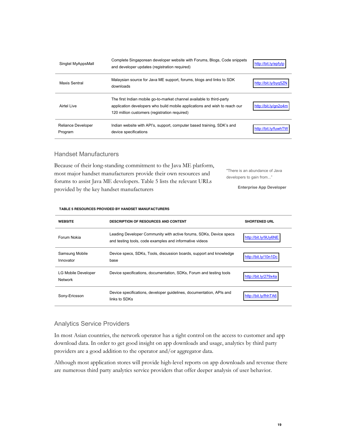| Singtel MyAppsMall            | Complete Singaporean developer website with Forums, Blogs, Code snippets<br>and developer updates (registration required)                                                                            | http://bit.ly/epfylp |
|-------------------------------|------------------------------------------------------------------------------------------------------------------------------------------------------------------------------------------------------|----------------------|
| Maxis Sentral                 | Malaysian source for Java ME support, forums, blogs and links to SDK<br>downloads                                                                                                                    | http://bit.ly/byg5ZN |
| Airtel Live                   | The first Indian mobile go-to-market channel available to third-party<br>application developers who build mobile applications and wish to reach our<br>120 million customers (registration required) | http://bit.ly/gn2o4m |
| Reliance Developer<br>Program | Indian website with API's, support, computer based training, SDK's and<br>device specifications                                                                                                      | http://bit.ly/fuwhTW |

#### Handset Manufacturers

Because of their long-standing commitment to the Java ME platform, most major handset manufacturers provide their own resources and forums to assist Java ME developers. Table 5 lists the relevant URLs provided by the key handset manufacturers "There is an abundance of Java developers to gain from..." **Enterprise App Developer**

#### **TABLE 5 RESOURCES PROVIDED BY HANDSET MANUFACTURERS**

| <b>WEBSITE</b>                 | <b>DESCRIPTION OF RESOURCES AND CONTENT</b>                                                                                   | <b>SHORTENED URL</b> |
|--------------------------------|-------------------------------------------------------------------------------------------------------------------------------|----------------------|
| Forum Nokia                    | Leading Developer Community with active forums, SDKs, Device specs<br>and testing tools, code examples and informative videos | http://bit.lv/9Uv6NE |
| Samsung Mobile<br>Innovator    | Device specs, SDKs, Tools, discussion boards, support and knowledge<br>base                                                   | http://bit.ly/10n1Dc |
| LG Mobile Developer<br>Network | Device specifications, documentation, SDKs, Forum and testing tools                                                           | http://bit.ly/279x4a |
| Sony-Ericsson                  | Device specifications, developer quidelines, documentation, APIs and<br>links to SDKs                                         | http://bit.ly/fhhTA6 |

#### Analytics Service Providers

In most Asian countries, the network operator has a tight control on the access to customer and app download data. In order to get good insight on app downloads and usage, analytics by third party providers are a good addition to the operator and/or aggregator data.

Although most application stores will provide high-level reports on app downloads and revenue there are numerous third party analytics service providers that offer deeper analysis of user behavior.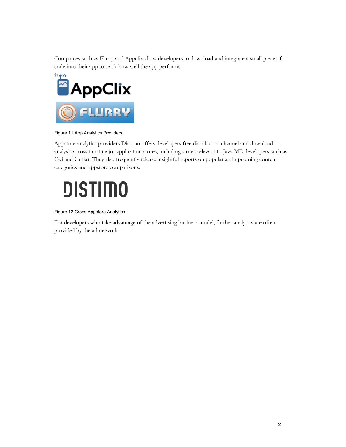Companies such as Flurry and Appclix allow developers to download and integrate a small piece of code into their app to track how well the app performs.



Figure 11 App Analytics Providers

Appstore analytics providers Distimo offers developers free distribution channel and download analysis across most major application stores, including stores relevant to Java ME developers such as Ovi and GetJar. They also frequently release insightful reports on popular and upcoming content categories and appstore comparisons.

# **DISTIMO**

#### Figure 12 Cross Appstore Analytics

For developers who take advantage of the advertising business model, further analytics are often provided by the ad network.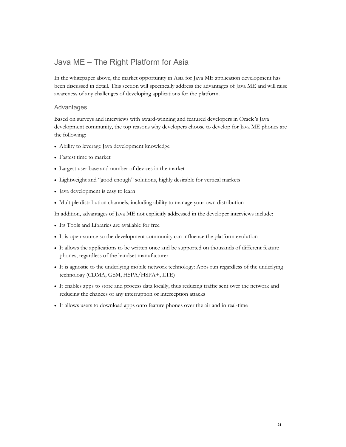## Java ME - The Right Platform for Asia

In the whitepaper above, the market opportunity in Asia for Java ME application development has been discussed in detail. This section will specifically address the advantages of Java ME and will raise awareness of any challenges of developing applications for the platform.

#### Advantages

Based on surveys and interviews with award-winning and featured developers in Oracle's Java development community, the top reasons why developers choose to develop for Java ME phones are the following:

- Ability to leverage Java development knowledge
- Fastest time to market
- Largest user base and number of devices in the market
- Lightweight and "good enough" solutions, highly desirable for vertical markets
- Java development is easy to learn
- Multiple distribution channels, including ability to manage your own distribution

In addition, advantages of Java ME not explicitly addressed in the developer interviews include:

- Its Tools and Libraries are available for free
- x It is open-source so the development community can influence the platform evolution
- x It allows the applications to be written once and be supported on thousands of different feature phones, regardless of the handset manufacturer
- x It is agnostic to the underlying mobile network technology: Apps run regardless of the underlying technology (CDMA, GSM, HSPA/HSPA+, LTE)
- x It enables apps to store and process data locally, thus reducing traffic sent over the network and reducing the chances of any interruption or interception attacks
- x It allows users to download apps onto feature phones over the air and in real-time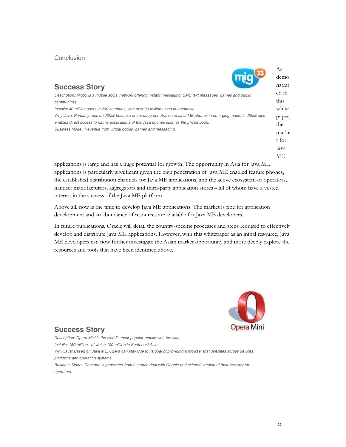#### **Conclusion**

|                                                                                                                                                                                                                                                                                  | demo                   |
|----------------------------------------------------------------------------------------------------------------------------------------------------------------------------------------------------------------------------------------------------------------------------------|------------------------|
| <b>Success Story</b>                                                                                                                                                                                                                                                             | nstrat                 |
| Description: Mig33 is a mobile social network offering instant messaging, SMS text messages, games and public<br>communities.                                                                                                                                                    | ed in<br>this          |
| Installs: 40 million users in 200 countries, with over 20 million users in Indonesia                                                                                                                                                                                             | white                  |
| Why Java: Primarily runs on J2ME because of the deep penetration of Java ME phones in emerging markets. J2ME also<br>enables direct access to native applications of the Java phones such as the phone book.<br>Business Model: Revenue from virtual goods, games and messaging. | paper,<br>the<br>marke |
|                                                                                                                                                                                                                                                                                  | t for                  |
|                                                                                                                                                                                                                                                                                  | lava                   |

applications is large and has a huge potential for growth. The opportunity in Asia for Java ME applications is particularly significant given the high penetration of Java ME enabled feature phones, the established distribution channels for Java ME applications, and the active ecosystem of operators, handset manufacturers, aggregators and third-party application stores - all of whom have a vested interest in the success of the Java ME platform.

Above all, now is the time to develop Java ME applications. The market is ripe for application development and an abundance of resources are available for Java ME developers.

In future publications, Oracle will detail the country-specific processes and steps required to effectively develop and distribute Java ME applications. However, with this whitepaper as an initial resource, Java ME developers can now further investigate the Asian market opportunity and more deeply explore the resources and tools that have been identified above.



## **Success Story**

Description: Opera Mini is the world's most popular mobile web browser *Installs: 150 million+ of which 100 million in Southeast Asia* Why Java: Based on Java ME, Opera can stay true to its goal of providing a browser that operates across devices, *platforms and operating systems. Business Model: Revenue is generated from a search deal with Google and skinned version of their browser for operators.*

**22**

As

 $\sqrt{2}$ 

ME